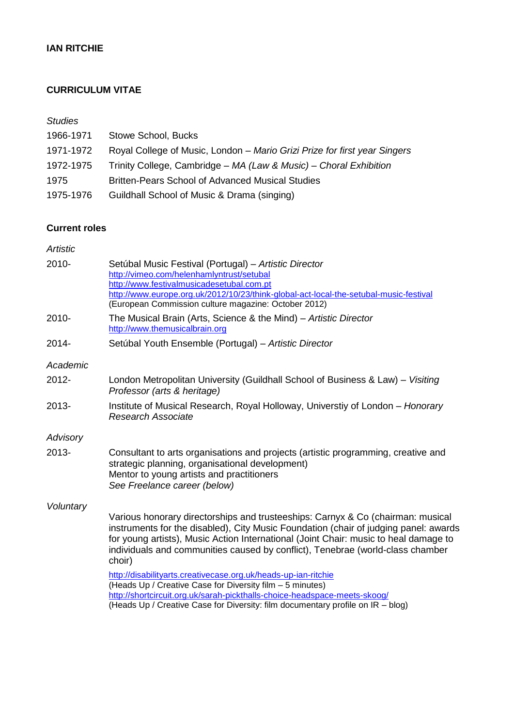# **IAN RITCHIE**

## **CURRICULUM VITAE**

## *Studies*

| 1966-1971 | Stowe School, Bucks                                                       |
|-----------|---------------------------------------------------------------------------|
| 1971-1972 | Royal College of Music, London - Mario Grizi Prize for first year Singers |
| 1972-1975 | Trinity College, Cambridge - MA (Law & Music) - Choral Exhibition         |
| 1975      | <b>Britten-Pears School of Advanced Musical Studies</b>                   |
| 1975-1976 | Guildhall School of Music & Drama (singing)                               |

## **Current roles**

| <b>Artistic</b> |                                                                                                                                                                                                                                                                                                                                                             |
|-----------------|-------------------------------------------------------------------------------------------------------------------------------------------------------------------------------------------------------------------------------------------------------------------------------------------------------------------------------------------------------------|
| 2010-           | Setúbal Music Festival (Portugal) - Artistic Director<br>http://vimeo.com/helenhamlyntrust/setubal<br>http://www.festivalmusicadesetubal.com.pt<br>http://www.europe.org.uk/2012/10/23/think-global-act-local-the-setubal-music-festival<br>(European Commission culture magazine: October 2012)                                                            |
| 2010-           | The Musical Brain (Arts, Science & the Mind) – Artistic Director<br>http://www.themusicalbrain.org                                                                                                                                                                                                                                                          |
| 2014-           | Setúbal Youth Ensemble (Portugal) – Artistic Director                                                                                                                                                                                                                                                                                                       |
| Academic        |                                                                                                                                                                                                                                                                                                                                                             |
| 2012-           | London Metropolitan University (Guildhall School of Business & Law) - Visiting<br>Professor (arts & heritage)                                                                                                                                                                                                                                               |
| 2013-           | Institute of Musical Research, Royal Holloway, Universtiy of London - Honorary<br><b>Research Associate</b>                                                                                                                                                                                                                                                 |
| Advisory        |                                                                                                                                                                                                                                                                                                                                                             |
| 2013-           | Consultant to arts organisations and projects (artistic programming, creative and<br>strategic planning, organisational development)<br>Mentor to young artists and practitioners<br>See Freelance career (below)                                                                                                                                           |
| Voluntary       |                                                                                                                                                                                                                                                                                                                                                             |
|                 | Various honorary directorships and trusteeships: Carnyx & Co (chairman: musical<br>instruments for the disabled), City Music Foundation (chair of judging panel: awards<br>for young artists), Music Action International (Joint Chair: music to heal damage to<br>individuals and communities caused by conflict), Tenebrae (world-class chamber<br>choir) |
|                 | http://disabilityarts.creativecase.org.uk/heads-up-ian-ritchie<br>(Heads Up / Creative Case for Diversity film - 5 minutes)<br>http://shortcircuit.org.uk/sarah-pickthalls-choice-headspace-meets-skoog/<br>(Heads Up / Creative Case for Diversity: film documentary profile on IR - blog)                                                                 |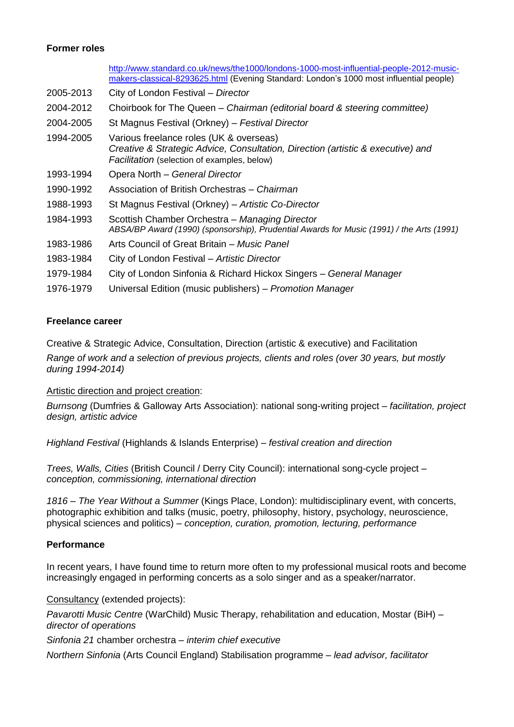## **Former roles**

|           | http://www.standard.co.uk/news/the1000/londons-1000-most-influential-people-2012-music-<br>makers-classical-8293625.html (Evening Standard: London's 1000 most influential people) |
|-----------|------------------------------------------------------------------------------------------------------------------------------------------------------------------------------------|
| 2005-2013 | City of London Festival - Director                                                                                                                                                 |
| 2004-2012 | Choirbook for The Queen – Chairman (editorial board & steering committee)                                                                                                          |
| 2004-2005 | St Magnus Festival (Orkney) - Festival Director                                                                                                                                    |
| 1994-2005 | Various freelance roles (UK & overseas)<br>Creative & Strategic Advice, Consultation, Direction (artistic & executive) and<br>Facilitation (selection of examples, below)          |
| 1993-1994 | Opera North - General Director                                                                                                                                                     |
| 1990-1992 | Association of British Orchestras – Chairman                                                                                                                                       |
| 1988-1993 | St Magnus Festival (Orkney) - Artistic Co-Director                                                                                                                                 |
| 1984-1993 | Scottish Chamber Orchestra – Managing Director<br>ABSA/BP Award (1990) (sponsorship), Prudential Awards for Music (1991) / the Arts (1991)                                         |
| 1983-1986 | Arts Council of Great Britain – Music Panel                                                                                                                                        |
| 1983-1984 | City of London Festival – Artistic Director                                                                                                                                        |
| 1979-1984 | City of London Sinfonia & Richard Hickox Singers - General Manager                                                                                                                 |
| 1976-1979 | Universal Edition (music publishers) – Promotion Manager                                                                                                                           |

## **Freelance career**

Creative & Strategic Advice, Consultation, Direction (artistic & executive) and Facilitation

*Range of work and a selection of previous projects, clients and roles (over 30 years, but mostly during 1994-2014)*

#### Artistic direction and project creation:

*Burnsong* (Dumfries & Galloway Arts Association): national song-writing project – *facilitation, project design, artistic advice*

*Highland Festival* (Highlands & Islands Enterprise) – *festival creation and direction*

*Trees, Walls, Cities* (British Council / Derry City Council): international song-cycle project – *conception, commissioning, international direction*

*1816 – The Year Without a Summer* (Kings Place, London): multidisciplinary event, with concerts, photographic exhibition and talks (music, poetry, philosophy, history, psychology, neuroscience, physical sciences and politics) – *conception, curation, promotion, lecturing, performance*

#### **Performance**

In recent years, I have found time to return more often to my professional musical roots and become increasingly engaged in performing concerts as a solo singer and as a speaker/narrator.

Consultancy (extended projects):

*Pavarotti Music Centre* (WarChild) Music Therapy, rehabilitation and education, Mostar (BiH) – *director of operations*

*Sinfonia 21* chamber orchestra – *interim chief executive*

*Northern Sinfonia* (Arts Council England) Stabilisation programme – *lead advisor, facilitator*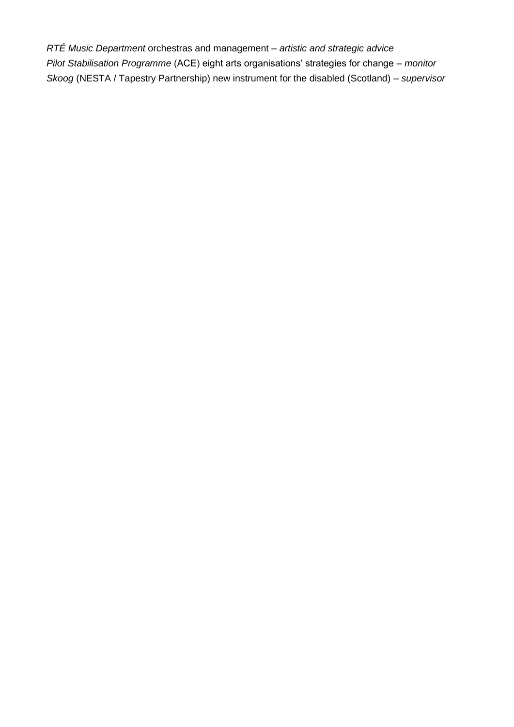*RTÉ Music Department* orchestras and management – *artistic and strategic advice Pilot Stabilisation Programme* (ACE) eight arts organisations' strategies for change – *monitor Skoog* (NESTA / Tapestry Partnership) new instrument for the disabled (Scotland) – *supervisor*